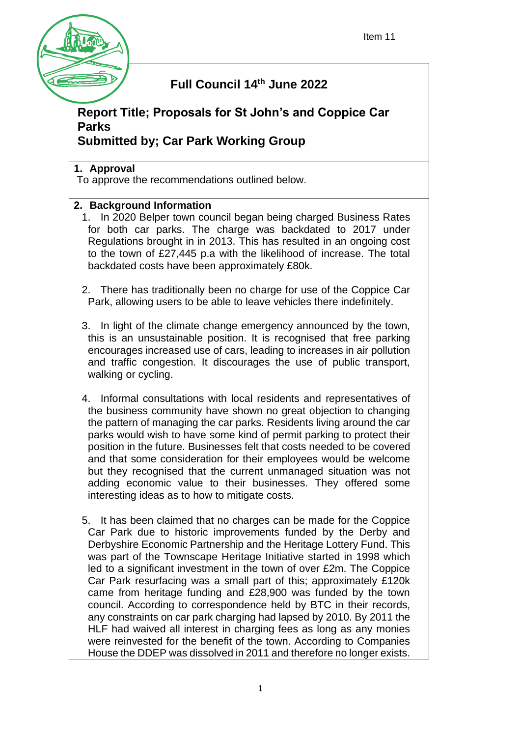

# **Full Council 14th June 2022**

# **Report Title; Proposals for St John's and Coppice Car Parks**

## **Submitted by; Car Park Working Group**

## **1. Approval**

To approve the recommendations outlined below.

## **2. Background Information**

- 1. In 2020 Belper town council began being charged Business Rates for both car parks. The charge was backdated to 2017 under Regulations brought in in 2013. This has resulted in an ongoing cost to the town of £27,445 p.a with the likelihood of increase. The total backdated costs have been approximately £80k.
- 2. There has traditionally been no charge for use of the Coppice Car Park, allowing users to be able to leave vehicles there indefinitely.
- 3. In light of the climate change emergency announced by the town, this is an unsustainable position. It is recognised that free parking encourages increased use of cars, leading to increases in air pollution and traffic congestion. It discourages the use of public transport, walking or cycling.
- 4. Informal consultations with local residents and representatives of the business community have shown no great objection to changing the pattern of managing the car parks. Residents living around the car parks would wish to have some kind of permit parking to protect their position in the future. Businesses felt that costs needed to be covered and that some consideration for their employees would be welcome but they recognised that the current unmanaged situation was not adding economic value to their businesses. They offered some interesting ideas as to how to mitigate costs.
- 5. It has been claimed that no charges can be made for the Coppice Car Park due to historic improvements funded by the Derby and Derbyshire Economic Partnership and the Heritage Lottery Fund. This was part of the Townscape Heritage Initiative started in 1998 which led to a significant investment in the town of over £2m. The Coppice Car Park resurfacing was a small part of this; approximately £120k came from heritage funding and £28,900 was funded by the town council. According to correspondence held by BTC in their records, any constraints on car park charging had lapsed by 2010. By 2011 the HLF had waived all interest in charging fees as long as any monies were reinvested for the benefit of the town. According to Companies House the DDEP was dissolved in 2011 and therefore no longer exists.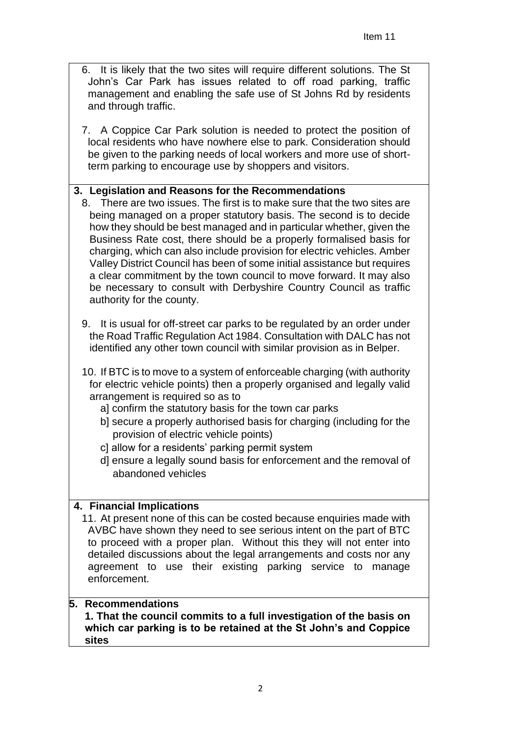- 6. It is likely that the two sites will require different solutions. The St John's Car Park has issues related to off road parking, traffic management and enabling the safe use of St Johns Rd by residents and through traffic.
- 7. A Coppice Car Park solution is needed to protect the position of local residents who have nowhere else to park. Consideration should be given to the parking needs of local workers and more use of shortterm parking to encourage use by shoppers and visitors.

### **3. Legislation and Reasons for the Recommendations**

- 8. There are two issues. The first is to make sure that the two sites are being managed on a proper statutory basis. The second is to decide how they should be best managed and in particular whether, given the Business Rate cost, there should be a properly formalised basis for charging, which can also include provision for electric vehicles. Amber Valley District Council has been of some initial assistance but requires a clear commitment by the town council to move forward. It may also be necessary to consult with Derbyshire Country Council as traffic authority for the county.
- 9. It is usual for off-street car parks to be regulated by an order under the Road Traffic Regulation Act 1984. Consultation with DALC has not identified any other town council with similar provision as in Belper.
- 10. If BTC is to move to a system of enforceable charging (with authority for electric vehicle points) then a properly organised and legally valid arrangement is required so as to
	- a] confirm the statutory basis for the town car parks
	- b] secure a properly authorised basis for charging (including for the provision of electric vehicle points)
	- c] allow for a residents' parking permit system
	- d] ensure a legally sound basis for enforcement and the removal of abandoned vehicles

### **4. Financial Implications**

11. At present none of this can be costed because enquiries made with AVBC have shown they need to see serious intent on the part of BTC to proceed with a proper plan. Without this they will not enter into detailed discussions about the legal arrangements and costs nor any agreement to use their existing parking service to manage enforcement.

#### **5. Recommendations**

**1. That the council commits to a full investigation of the basis on which car parking is to be retained at the St John's and Coppice sites**